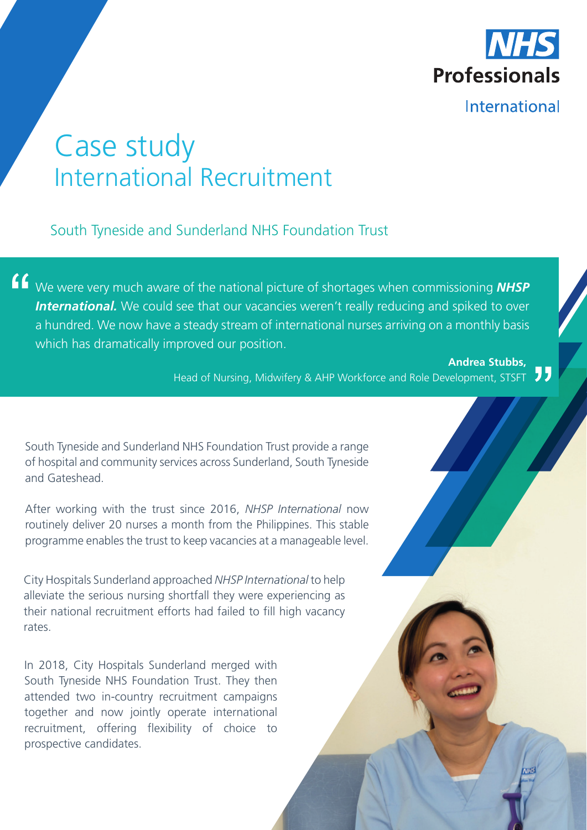

# Case study International Recruitment

South Tyneside and Sunderland NHS Foundation Trust

We were very much aware of the national picture of shortages when commissioning *NHSP*  **International.** We could see that our vacancies weren't really reducing and spiked to over a hundred. We now have a steady stream of international nurses arriving on a monthly basis which has dramatically improved our position.

> **Andrea Stubbs,**  Head of Nursing, Midwifery & AHP Workforce and Role Development, STSFT

South Tyneside and Sunderland NHS Foundation Trust provide a range of hospital and community services across Sunderland, South Tyneside and Gateshead.

After working with the trust since 2016, *NHSP International* now routinely deliver 20 nurses a month from the Philippines. This stable programme enables the trust to keep vacancies at a manageable level.

City Hospitals Sunderland approached *NHSP International* to help alleviate the serious nursing shortfall they were experiencing as their national recruitment efforts had failed to fill high vacancy rates.

In 2018, City Hospitals Sunderland merged with South Tyneside NHS Foundation Trust. They then attended two in-country recruitment campaigns together and now jointly operate international recruitment, offering flexibility of choice to prospective candidates.